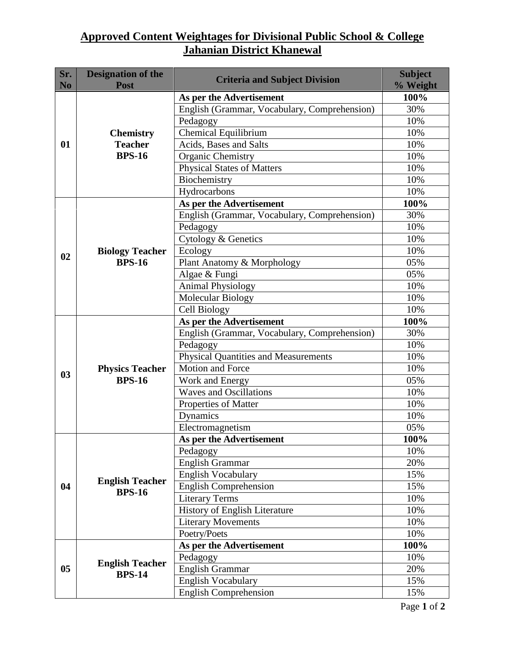## **Approved Content Weightages for Divisional Public School & College Jahanian District Khanewal**

| Sr.<br>N <sub>0</sub> | <b>Designation of the</b><br><b>Post</b>                            | <b>Criteria and Subject Division</b>                                                                                                                                                                                                                                                                                                                                                                                                                                                                                                                                                                                                                                                                                                                                                                                                | <b>Subject</b><br>% Weight |
|-----------------------|---------------------------------------------------------------------|-------------------------------------------------------------------------------------------------------------------------------------------------------------------------------------------------------------------------------------------------------------------------------------------------------------------------------------------------------------------------------------------------------------------------------------------------------------------------------------------------------------------------------------------------------------------------------------------------------------------------------------------------------------------------------------------------------------------------------------------------------------------------------------------------------------------------------------|----------------------------|
|                       |                                                                     | As per the Advertisement                                                                                                                                                                                                                                                                                                                                                                                                                                                                                                                                                                                                                                                                                                                                                                                                            | 100%                       |
|                       |                                                                     | English (Grammar, Vocabulary, Comprehension)<br>Pedagogy<br>Chemical Equilibrium<br><b>Chemistry</b><br>Acids, Bases and Salts<br><b>Teacher</b><br><b>BPS-16</b><br>Organic Chemistry<br><b>Physical States of Matters</b><br>Biochemistry<br>Hydrocarbons<br>As per the Advertisement<br>English (Grammar, Vocabulary, Comprehension)<br>Pedagogy<br>Cytology & Genetics<br>Ecology<br>Plant Anatomy & Morphology<br><b>BPS-16</b><br>Algae & Fungi<br><b>Animal Physiology</b><br>Molecular Biology<br>Cell Biology<br>As per the Advertisement<br>English (Grammar, Vocabulary, Comprehension)<br>Pedagogy<br>Physical Quantities and Measurements<br>Motion and Force<br><b>BPS-16</b><br>Work and Energy<br><b>Waves and Oscillations</b><br>Properties of Matter<br>Dynamics<br>Electromagnetism<br>As per the Advertisement | 30%                        |
|                       |                                                                     |                                                                                                                                                                                                                                                                                                                                                                                                                                                                                                                                                                                                                                                                                                                                                                                                                                     | 10%                        |
|                       |                                                                     |                                                                                                                                                                                                                                                                                                                                                                                                                                                                                                                                                                                                                                                                                                                                                                                                                                     | 10%                        |
| 01                    |                                                                     |                                                                                                                                                                                                                                                                                                                                                                                                                                                                                                                                                                                                                                                                                                                                                                                                                                     | 10%                        |
|                       |                                                                     |                                                                                                                                                                                                                                                                                                                                                                                                                                                                                                                                                                                                                                                                                                                                                                                                                                     | 10%                        |
|                       |                                                                     |                                                                                                                                                                                                                                                                                                                                                                                                                                                                                                                                                                                                                                                                                                                                                                                                                                     | 10%                        |
|                       |                                                                     |                                                                                                                                                                                                                                                                                                                                                                                                                                                                                                                                                                                                                                                                                                                                                                                                                                     | 10%                        |
|                       |                                                                     |                                                                                                                                                                                                                                                                                                                                                                                                                                                                                                                                                                                                                                                                                                                                                                                                                                     | 10%                        |
|                       |                                                                     |                                                                                                                                                                                                                                                                                                                                                                                                                                                                                                                                                                                                                                                                                                                                                                                                                                     | 100%                       |
|                       | <b>Biology Teacher</b>                                              |                                                                                                                                                                                                                                                                                                                                                                                                                                                                                                                                                                                                                                                                                                                                                                                                                                     | 30%                        |
|                       |                                                                     |                                                                                                                                                                                                                                                                                                                                                                                                                                                                                                                                                                                                                                                                                                                                                                                                                                     | 10%                        |
|                       |                                                                     |                                                                                                                                                                                                                                                                                                                                                                                                                                                                                                                                                                                                                                                                                                                                                                                                                                     | 10%                        |
|                       |                                                                     |                                                                                                                                                                                                                                                                                                                                                                                                                                                                                                                                                                                                                                                                                                                                                                                                                                     | 10%                        |
| 02                    |                                                                     |                                                                                                                                                                                                                                                                                                                                                                                                                                                                                                                                                                                                                                                                                                                                                                                                                                     | 05%                        |
|                       |                                                                     |                                                                                                                                                                                                                                                                                                                                                                                                                                                                                                                                                                                                                                                                                                                                                                                                                                     | 05%                        |
|                       |                                                                     |                                                                                                                                                                                                                                                                                                                                                                                                                                                                                                                                                                                                                                                                                                                                                                                                                                     | 10%                        |
|                       |                                                                     |                                                                                                                                                                                                                                                                                                                                                                                                                                                                                                                                                                                                                                                                                                                                                                                                                                     | 10%                        |
|                       |                                                                     |                                                                                                                                                                                                                                                                                                                                                                                                                                                                                                                                                                                                                                                                                                                                                                                                                                     | 10%                        |
|                       | <b>Physics Teacher</b>                                              |                                                                                                                                                                                                                                                                                                                                                                                                                                                                                                                                                                                                                                                                                                                                                                                                                                     | 100%                       |
|                       |                                                                     |                                                                                                                                                                                                                                                                                                                                                                                                                                                                                                                                                                                                                                                                                                                                                                                                                                     | 30%                        |
|                       |                                                                     |                                                                                                                                                                                                                                                                                                                                                                                                                                                                                                                                                                                                                                                                                                                                                                                                                                     | 10%                        |
|                       |                                                                     |                                                                                                                                                                                                                                                                                                                                                                                                                                                                                                                                                                                                                                                                                                                                                                                                                                     | 10%                        |
| 0 <sub>3</sub>        |                                                                     |                                                                                                                                                                                                                                                                                                                                                                                                                                                                                                                                                                                                                                                                                                                                                                                                                                     | 10%                        |
|                       |                                                                     |                                                                                                                                                                                                                                                                                                                                                                                                                                                                                                                                                                                                                                                                                                                                                                                                                                     | 05%                        |
|                       |                                                                     |                                                                                                                                                                                                                                                                                                                                                                                                                                                                                                                                                                                                                                                                                                                                                                                                                                     | 10%                        |
|                       |                                                                     |                                                                                                                                                                                                                                                                                                                                                                                                                                                                                                                                                                                                                                                                                                                                                                                                                                     | 10%                        |
|                       |                                                                     |                                                                                                                                                                                                                                                                                                                                                                                                                                                                                                                                                                                                                                                                                                                                                                                                                                     | 10%                        |
|                       |                                                                     |                                                                                                                                                                                                                                                                                                                                                                                                                                                                                                                                                                                                                                                                                                                                                                                                                                     | 05%                        |
|                       | Pedagogy<br><b>English Teacher</b><br><b>BPS-16</b><br>Poetry/Poets |                                                                                                                                                                                                                                                                                                                                                                                                                                                                                                                                                                                                                                                                                                                                                                                                                                     | 100%                       |
|                       |                                                                     |                                                                                                                                                                                                                                                                                                                                                                                                                                                                                                                                                                                                                                                                                                                                                                                                                                     | 10%                        |
|                       |                                                                     | English Grammar                                                                                                                                                                                                                                                                                                                                                                                                                                                                                                                                                                                                                                                                                                                                                                                                                     | 20%                        |
|                       |                                                                     | <b>English Vocabulary</b>                                                                                                                                                                                                                                                                                                                                                                                                                                                                                                                                                                                                                                                                                                                                                                                                           | 15%                        |
| 04                    |                                                                     | English Comprehension                                                                                                                                                                                                                                                                                                                                                                                                                                                                                                                                                                                                                                                                                                                                                                                                               | 15%                        |
|                       |                                                                     | <b>Literary Terms</b>                                                                                                                                                                                                                                                                                                                                                                                                                                                                                                                                                                                                                                                                                                                                                                                                               | 10%                        |
|                       |                                                                     | History of English Literature                                                                                                                                                                                                                                                                                                                                                                                                                                                                                                                                                                                                                                                                                                                                                                                                       | 10%                        |
|                       |                                                                     | <b>Literary Movements</b>                                                                                                                                                                                                                                                                                                                                                                                                                                                                                                                                                                                                                                                                                                                                                                                                           | 10%                        |
|                       |                                                                     |                                                                                                                                                                                                                                                                                                                                                                                                                                                                                                                                                                                                                                                                                                                                                                                                                                     | 10%                        |
|                       | <b>English Teacher</b><br><b>BPS-14</b>                             | As per the Advertisement                                                                                                                                                                                                                                                                                                                                                                                                                                                                                                                                                                                                                                                                                                                                                                                                            | 100%                       |
|                       |                                                                     | Pedagogy                                                                                                                                                                                                                                                                                                                                                                                                                                                                                                                                                                                                                                                                                                                                                                                                                            | 10%                        |
| 0 <sub>5</sub>        |                                                                     | <b>English Grammar</b>                                                                                                                                                                                                                                                                                                                                                                                                                                                                                                                                                                                                                                                                                                                                                                                                              | 20%                        |
|                       |                                                                     | <b>English Vocabulary</b>                                                                                                                                                                                                                                                                                                                                                                                                                                                                                                                                                                                                                                                                                                                                                                                                           | 15%                        |
|                       |                                                                     | <b>English Comprehension</b>                                                                                                                                                                                                                                                                                                                                                                                                                                                                                                                                                                                                                                                                                                                                                                                                        | 15%                        |